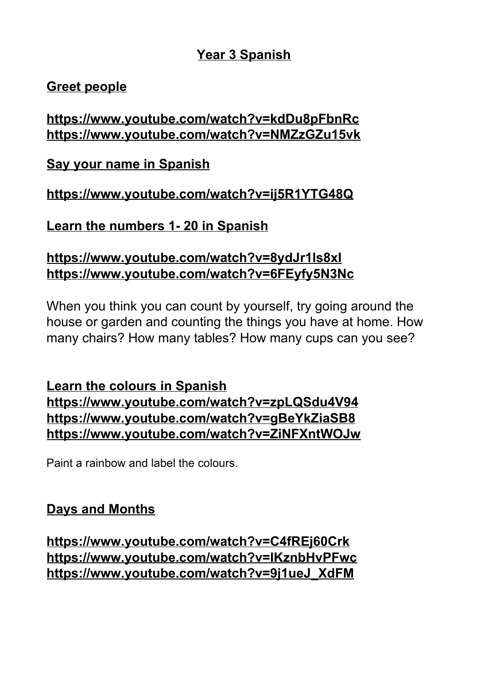# **Year 3 Spanish**

# **Greet people**

# **<https://www.youtube.com/watch?v=kdDu8pFbnRc> <https://www.youtube.com/watch?v=NMZzGZu15vk>**

**Say your name in Spanish**

# **<https://www.youtube.com/watch?v=ij5R1YTG48Q>**

**Learn the numbers 1- 20 in Spanish**

# **<https://www.youtube.com/watch?v=8ydJr1Is8xI> <https://www.youtube.com/watch?v=6FEyfy5N3Nc>**

When you think you can count by yourself, try going around the house or garden and counting the things you have at home. How many chairs? How many tables? How many cups can you see?

## **Learn the colours in Spanish <https://www.youtube.com/watch?v=zpLQSdu4V94> <https://www.youtube.com/watch?v=gBeYkZiaSB8> <https://www.youtube.com/watch?v=ZiNFXntWOJw>**

Paint a rainbow and label the colours.

# **Days and Months**

**<https://www.youtube.com/watch?v=C4fREj60Crk> <https://www.youtube.com/watch?v=IKznbHvPFwc> [https://www.youtube.com/watch?v=9j1ueJ\\_XdFM](https://www.youtube.com/watch?v=9j1ueJ_XdFM)**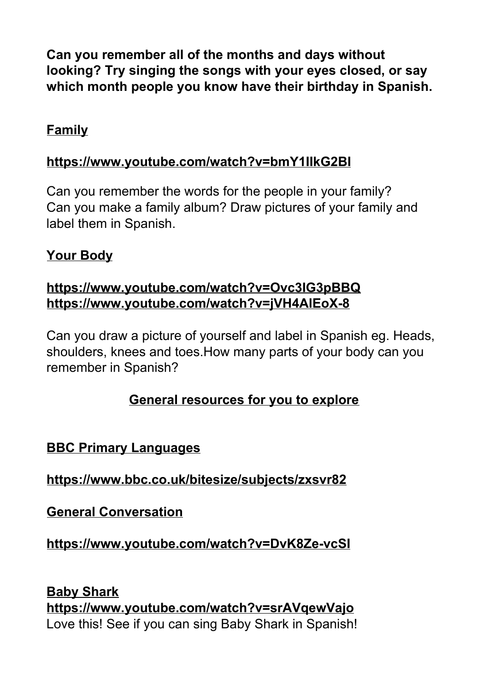**Can you remember all of the months and days without looking? Try singing the songs with your eyes closed, or say which month people you know have their birthday in Spanish.**

## **Family**

#### **<https://www.youtube.com/watch?v=bmY1IIkG2BI>**

Can you remember the words for the people in your family? Can you make a family album? Draw pictures of your family and label them in Spanish.

#### **Your Body**

## **<https://www.youtube.com/watch?v=Ovc3IG3pBBQ> <https://www.youtube.com/watch?v=jVH4AlEoX-8>**

Can you draw a picture of yourself and label in Spanish eg. Heads, shoulders, knees and toes.How many parts of your body can you remember in Spanish?

# **General resources for you to explore**

## **BBC Primary Languages**

**<https://www.bbc.co.uk/bitesize/subjects/zxsvr82>**

**General Conversation**

**<https://www.youtube.com/watch?v=DvK8Ze-vcSI>**

**Baby Shark <https://www.youtube.com/watch?v=srAVqewVajo>** Love this! See if you can sing Baby Shark in Spanish!